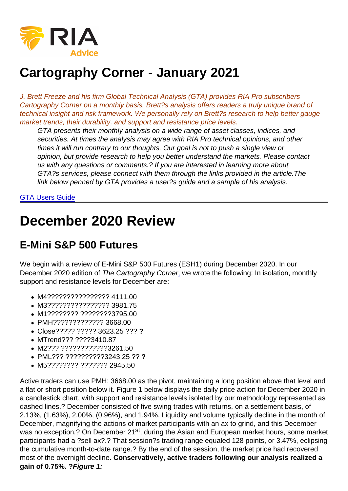# Cartography Corner - January 2021

J. Brett Freeze and his firm Global Technical Analysis (GTA) provides RIA Pro subscribers Cartography Corner on a monthly basis. Brett?s analysis offers readers a truly unique brand of technical insight and risk framework. We personally rely on Brett?s research to help better gauge market trends, their durability, and support and resistance price levels.

GTA presents their monthly analysis on a wide range of asset classes, indices, and securities. At times the analysis may agree with RIA Pro technical opinions, and other times it will run contrary to our thoughts. Our goal is not to push a single view or opinion, but provide research to help you better understand the markets. Please contact us with any questions or comments.? If you are interested in learning more about GTA?s services, please connect with them through the links provided in the article.The link below penned by GTA provides a user?s guide and a sample of his analysis.

#### [GTA Users Guide](https://www.scribd.com/document/385310848/GTA-Introduction-RIA-Pro-docx)

## December 2020 Review

#### E-Mini S&P 500 Futures

We begin with a review of E-Mini S&P 500 Futures (ESH1) during December 2020. In our December 2020 edition of The Cartography Corner[,](https://www.720global.com/article/cartography-corner-july-2017-595e6d2d87eac) we wrote the following: In isolation, monthly support and resistance levels for December are:

- M4???????????????? 4111.00
- M3???????????????? 3981.75
- M1???????? ????????3795.00
- PMH????????????? 3668.00
- Close????? ????? 3623.25 ??? ?
- MTrend??? ????3410.87
- M2??? ????????????3261.50
- PML??? ??????????3243.25 ?? ?
- M5???????? ??????? 2945.50

Active traders can use PMH: 3668.00 as the pivot, maintaining a long position above that level and a flat or short position below it. Figure 1 below displays the daily price action for December 2020 in a candlestick chart, with support and resistance levels isolated by our methodology represented as dashed lines.? December consisted of five swing trades with returns, on a settlement basis, of 2.13%, (1.63%), 2.00%, (0.96%), and 1.94%. Liquidity and volume typically decline in the month of December, magnifying the actions of market participants with an ax to grind, and this December was no exception.? On December 21<sup>st</sup>, during the Asian and European market hours, some market participants had a ?sell ax?.? That session?s trading range equaled 128 points, or 3.47%, eclipsing the cumulative month-to-date range.? By the end of the session, the market price had recovered most of the overnight decline. Conservatively, active traders following our analysis realized a gain of 0.75%. ? Figure 1: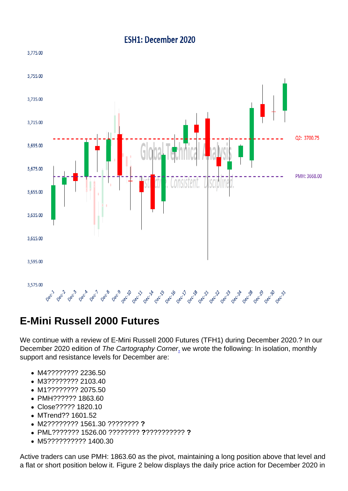#### E-Mini Russell 2000 Futures

We continue with a review of E-Mini Russell 2000 Futures (TFH1) during December 2020.? In our December 2020 edition of The Cartography Corner[,](https://www.720global.com/article/cartography-corner-july-2017-595e6d2d87eac) we wrote the following: In isolation, monthly support and resistance levels for December are:

- M4???????? 2236.50
- M3???????? 2103.40
- M1???????? 2075.50
- PMH?????? 1863.60
- Close????? 1820.10
- MTrend?? 1601.52
- M2???????? 1561.30 ???????? ?
- PML??????? 1526.00 ???????? ??????????? ?
- M5?????????? 1400.30

Active traders can use PMH: 1863.60 as the pivot, maintaining a long position above that level and a flat or short position below it. Figure 2 below displays the daily price action for December 2020 in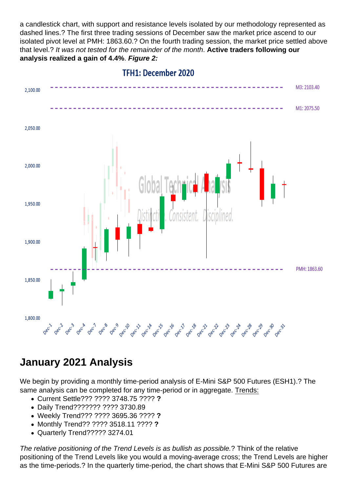a candlestick chart, with support and resistance levels isolated by our methodology represented as dashed lines.? The first three trading sessions of December saw the market price ascend to our isolated pivot level at PMH: 1863.60.? On the fourth trading session, the market price settled above that level.? It was not tested for the remainder of the month. Active traders following our analysis realized a gain of 4.4% . Figure 2:

#### January 2021 Analysis

We begin by providing a monthly time-period analysis of E-Mini S&P 500 Futures (ESH1).? The same analysis can be completed for any time-period or in aggregate. Trends:

- Current Settle??? ???? 3748.75 ???? ?
- Daily Trend??????? ???? 3730.89
- Weekly Trend??? ???? 3695.36 ???? ?
- Monthly Trend?? ???? 3518.11 ???? ?
- Quarterly Trend????? 3274.01

The relative positioning of the Trend Levels is as bullish as possible.? Think of the relative positioning of the Trend Levels like you would a moving-average cross; the Trend Levels are higher as the time-periods.? In the quarterly time-period, the chart shows that E-Mini S&P 500 Futures are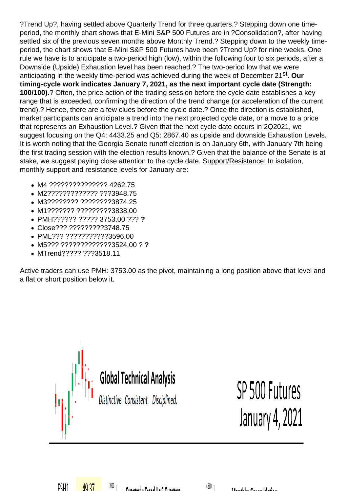?Trend Up?, having settled above Quarterly Trend for three quarters.? Stepping down one timeperiod, the monthly chart shows that E-Mini S&P 500 Futures are in ?Consolidation?, after having settled six of the previous seven months above Monthly Trend.? Stepping down to the weekly timeperiod, the chart shows that E-Mini S&P 500 Futures have been ?Trend Up? for nine weeks. One rule we have is to anticipate a two-period high (low), within the following four to six periods, after a Downside (Upside) Exhaustion level has been reached.? The two-period low that we were anticipating in the weekly time-period was achieved during the week of December 21<sup>st</sup>. Our timing-cycle work indicates January 7, 2021, as the next important cycle date (Strength: 100/100).? Often, the price action of the trading session before the cycle date establishes a key range that is exceeded, confirming the direction of the trend change (or acceleration of the current trend).? Hence, there are a few clues before the cycle date.? Once the direction is established, market participants can anticipate a trend into the next projected cycle date, or a move to a price that represents an Exhaustion Level.? Given that the next cycle date occurs in 2Q2021, we suggest focusing on the Q4: 4433.25 and Q5: 2867.40 as upside and downside Exhaustion Levels. It is worth noting that the Georgia Senate runoff election is on January 6th, with January 7th being the first trading session with the election results known.? Given that the balance of the Senate is at stake, we suggest paying close attention to the cycle date. Support/Resistance: In isolation, monthly support and resistance levels for January are:

- M4 ??????????????? 4262.75
- M2????????????? ???3948.75
- M3???????? ????????3874.25
- M1??????? ?????????3838.00
- PMH?????? ????? 3753.00 ??? ?
- Close??? ?????????3748.75
- PML??? ???????????3596.00
- M5??? ?????????????3524.00 ? ?
- MTrend????? ???3518.11

Active traders can use PMH: 3753.00 as the pivot, maintaining a long position above that level and a flat or short position below it.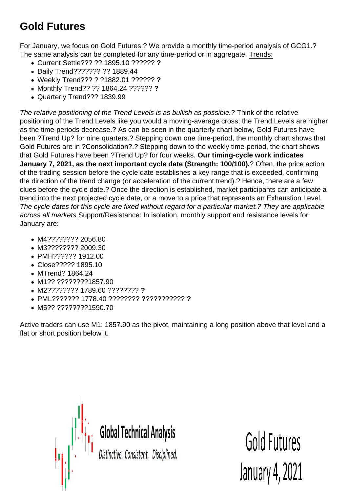## Gold Futures

For January, we focus on Gold Futures.? We provide a monthly time-period analysis of GCG1.? The same analysis can be completed for any time-period or in aggregate. Trends:

- Current Settle??? ?? 1895.10 ?????? ?
- Daily Trend??????? ?? 1889.44
- Weekly Trend??? ? ?1882.01 ?????? ?
- Monthly Trend?? ?? 1864.24 ?????? ?
- Quarterly Trend??? 1839.99

The relative positioning of the Trend Levels is as bullish as possible.? Think of the relative positioning of the Trend Levels like you would a moving-average cross; the Trend Levels are higher as the time-periods decrease.? As can be seen in the quarterly chart below, Gold Futures have been ?Trend Up? for nine quarters.? Stepping down one time-period, the monthly chart shows that Gold Futures are in ?Consolidation?.? Stepping down to the weekly time-period, the chart shows that Gold Futures have been ?Trend Up? for four weeks. Our timing-cycle work indicates January 7, 2021, as the next important cycle date (Strength: 100/100). ? Often, the price action of the trading session before the cycle date establishes a key range that is exceeded, confirming the direction of the trend change (or acceleration of the current trend).? Hence, there are a few clues before the cycle date.? Once the direction is established, market participants can anticipate a trend into the next projected cycle date, or a move to a price that represents an Exhaustion Level. The cycle dates for this cycle are fixed without regard for a particular market.? They are applicable across all markets.Support/Resistance: In isolation, monthly support and resistance levels for January are:

- M4???????? 2056.80
- M3???????? 2009.30
- PMH?????? 1912.00
- Close????? 1895.10
- MTrend? 1864.24
- M1?? ????????1857.90
- M2???????? 1789.60 ???????? ?
- PML??????? 1778.40 ???????? ??????????? ?
- M5?? ????????1590.70

Active traders can use M1: 1857.90 as the pivot, maintaining a long position above that level and a flat or short position below it.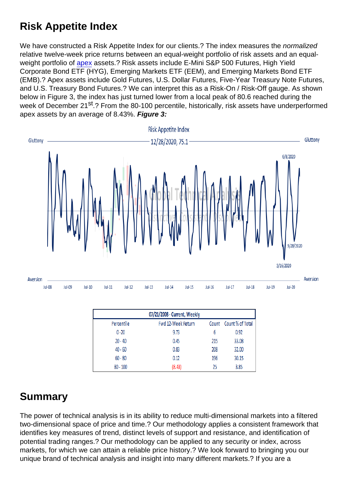#### Risk Appetite Index

We have constructed a Risk Appetite Index for our clients.? The index measures the normalized relative twelve-week price returns between an equal-weight portfolio of risk assets and an equalweight portfolio of [apex](https://en.wikipedia.org/wiki/John_Exter) assets.? Risk assets include E-Mini S&P 500 Futures, High Yield Corporate Bond ETF (HYG), Emerging Markets ETF (EEM), and Emerging Markets Bond ETF (EMB).? Apex assets include Gold Futures, U.S. Dollar Futures, Five-Year Treasury Note Futures, and U.S. Treasury Bond Futures.? We can interpret this as a Risk-On / Risk-Off gauge. As shown below in Figure 3, the index has just turned lower from a local peak of 80.6 reached during the week of December 21<sup>st</sup>.? From the 80-100 percentile, historically, risk assets have underperformed apex assets by an average of 8.43%. Figure 3:

## Summary

The power of technical analysis is in its ability to reduce multi-dimensional markets into a filtered two-dimensional space of price and time.? Our methodology applies a consistent framework that identifies key measures of trend, distinct levels of support and resistance, and identification of potential trading ranges.? Our methodology can be applied to any security or index, across markets, for which we can attain a reliable price history.? We look forward to bringing you our unique brand of technical analysis and insight into many different markets.? If you are a